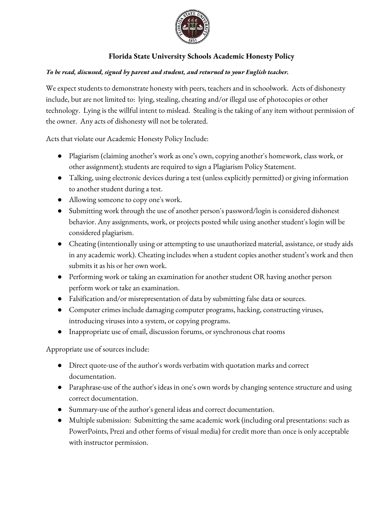

## **Florida State University Schools Academic Honesty Policy**

## *To be read, discussed, signed by parent and student, and returned to your English teacher.*

We expect students to demonstrate honesty with peers, teachers and in schoolwork. Acts of dishonesty include, but are not limited to: lying, stealing, cheating and/or illegal use of photocopies or other technology. Lying is the willful intent to mislead. Stealing is the taking of any item without permission of the owner. Any acts of dishonesty will not be tolerated.

Acts that violate our Academic Honesty Policy Include:

- Plagiarism (claiming another's work as one's own, copying another's homework, class work, or other assignment); students are required to sign a Plagiarism Policy Statement.
- Talking, using electronic devices during a test (unless explicitly permitted) or giving information to another student during a test.
- Allowing someone to copy one's work.
- Submitting work through the use of another person's password/login is considered dishonest behavior. Any assignments, work, or projects posted while using another student's login will be considered plagiarism.
- Cheating (intentionally using or attempting to use unauthorized material, assistance, or study aids in any academic work). Cheating includes when a student copies another student's work and then submits it as his or her own work.
- Performing work or taking an examination for another student OR having another person perform work or take an examination.
- Falsification and/or misrepresentation of data by submitting false data or sources.
- Computer crimes include damaging computer programs, hacking, constructing viruses, introducing viruses into a system, or copying programs.
- Inappropriate use of email, discussion forums, or synchronous chat rooms

Appropriate use of sources include:

- Direct quote-use of the author's words verbatim with quotation marks and correct documentation.
- Paraphrase-use of the author's ideas in one's own words by changing sentence structure and using correct documentation.
- Summary-use of the author's general ideas and correct documentation.
- Multiple submission: Submitting the same academic work (including oral presentations: such as PowerPoints, Prezi and other forms of visual media) for credit more than once is only acceptable with instructor permission.